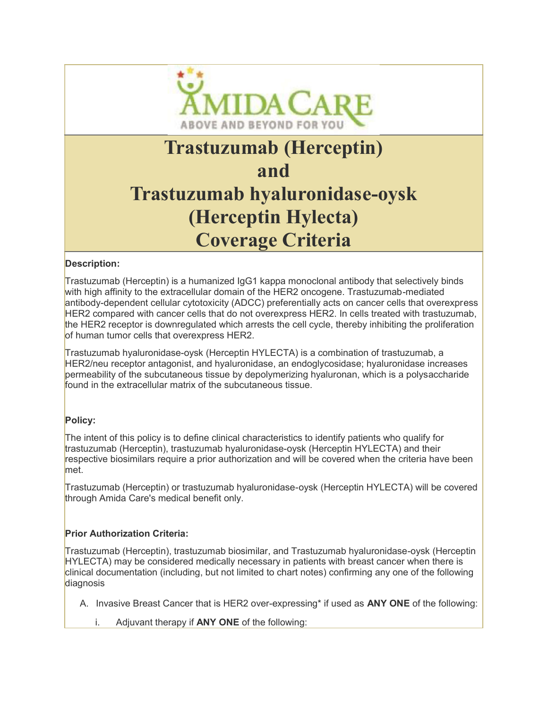

# Trastuzumab (Herceptin) and Trastuzumab hyaluronidase-oysk (Herceptin Hylecta) Coverage Criteria

### Description:

Trastuzumab (Herceptin) is a humanized IgG1 kappa monoclonal antibody that selectively binds with high affinity to the extracellular domain of the HER2 oncogene. Trastuzumab-mediated antibody-dependent cellular cytotoxicity (ADCC) preferentially acts on cancer cells that overexpress HER2 compared with cancer cells that do not overexpress HER2. In cells treated with trastuzumab, the HER2 receptor is downregulated which arrests the cell cycle, thereby inhibiting the proliferation of human tumor cells that overexpress HER2.

Trastuzumab hyaluronidase-oysk (Herceptin HYLECTA) is a combination of trastuzumab, a HER2/neu receptor antagonist, and hyaluronidase, an endoglycosidase; hyaluronidase increases permeability of the subcutaneous tissue by depolymerizing hyaluronan, which is a polysaccharide found in the extracellular matrix of the subcutaneous tissue.

## Policy:

L

L

The intent of this policy is to define clinical characteristics to identify patients who qualify for trastuzumab (Herceptin), trastuzumab hyaluronidase-oysk (Herceptin HYLECTA) and their respective biosimilars require a prior authorization and will be covered when the criteria have been met.

Trastuzumab (Herceptin) or trastuzumab hyaluronidase-oysk (Herceptin HYLECTA) will be covered through Amida Care's medical benefit only.

#### Prior Authorization Criteria:

Trastuzumab (Herceptin), trastuzumab biosimilar, and Trastuzumab hyaluronidase-oysk (Herceptin HYLECTA) may be considered medically necessary in patients with breast cancer when there is clinical documentation (including, but not limited to chart notes) confirming any one of the following diagnosis

- A. Invasive Breast Cancer that is HER2 over-expressing\* if used as **ANY ONE** of the following:
	- i. Adjuvant therapy if  $ANY$  ONE of the following: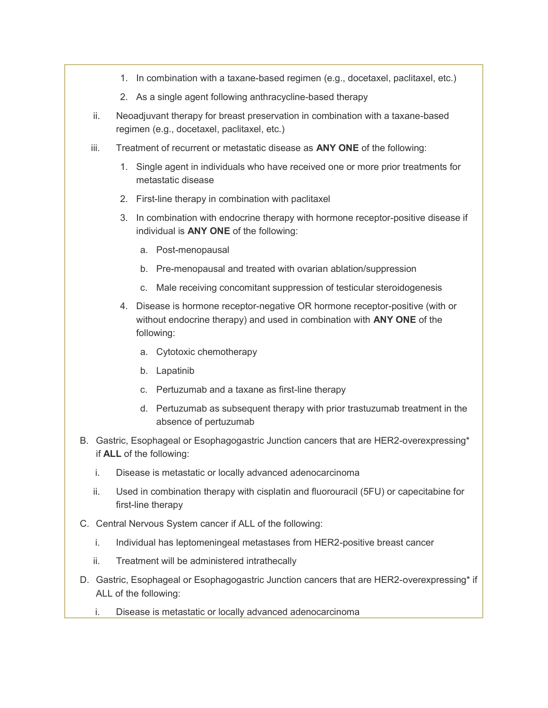- 1. In combination with a taxane-based regimen (e.g., docetaxel, paclitaxel, etc.)
- 2. As a single agent following anthracycline-based therapy
- ii. Neoadjuvant therapy for breast preservation in combination with a taxane-based regimen (e.g., docetaxel, paclitaxel, etc.)
- iii. Treatment of recurrent or metastatic disease as  $\mathsf{ANY}$  ONE of the following:
	- 1. Single agent in individuals who have received one or more prior treatments for metastatic disease
	- 2. First-line therapy in combination with paclitaxel
	- 3. In combination with endocrine therapy with hormone receptor-positive disease if individual is ANY ONE of the following:
		- a. Post-menopausal
		- b. Pre-menopausal and treated with ovarian ablation/suppression
		- c. Male receiving concomitant suppression of testicular steroidogenesis
	- 4. Disease is hormone receptor-negative OR hormone receptor-positive (with or without endocrine therapy) and used in combination with ANY ONE of the following:
		- a. Cytotoxic chemotherapy
		- b. Lapatinib
		- c. Pertuzumab and a taxane as first-line therapy
		- d. Pertuzumab as subsequent therapy with prior trastuzumab treatment in the absence of pertuzumab
- B. Gastric, Esophageal or Esophagogastric Junction cancers that are HER2-overexpressing\* if ALL of the following:
	- i. Disease is metastatic or locally advanced adenocarcinoma
	- ii. Used in combination therapy with cisplatin and fluorouracil (5FU) or capecitabine for first-line therapy
- C. Central Nervous System cancer if ALL of the following:
	- i. Individual has leptomeningeal metastases from HER2-positive breast cancer
	- ii. Treatment will be administered intrathecally
- D. Gastric, Esophageal or Esophagogastric Junction cancers that are HER2-overexpressing\* if ALL of the following:
	- i. Disease is metastatic or locally advanced adenocarcinoma